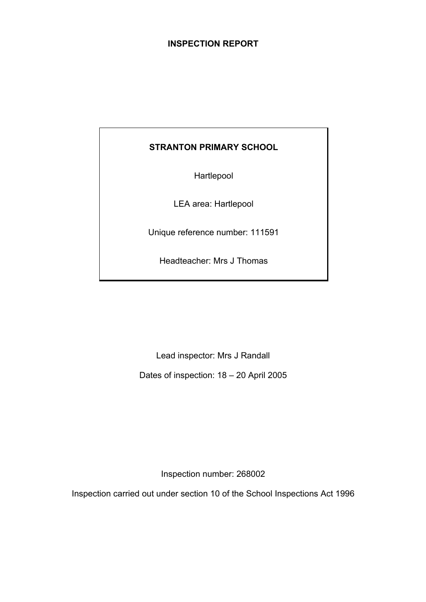# **INSPECTION REPORT**

# **STRANTON PRIMARY SCHOOL**

Hartlepool

LEA area: Hartlepool

Unique reference number: 111591

Headteacher: Mrs J Thomas

Lead inspector: Mrs J Randall

Dates of inspection: 18 – 20 April 2005

Inspection number: 268002

Inspection carried out under section 10 of the School Inspections Act 1996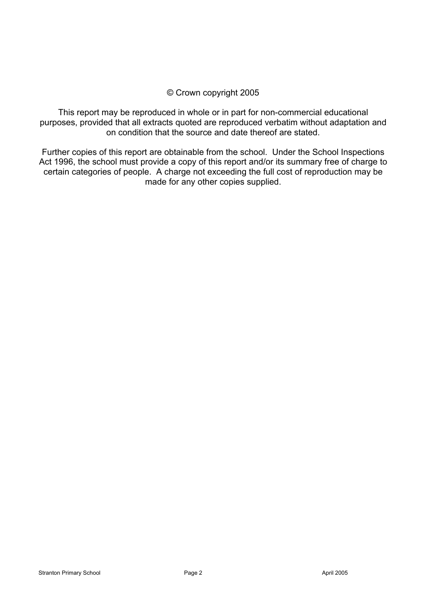# © Crown copyright 2005

This report may be reproduced in whole or in part for non-commercial educational purposes, provided that all extracts quoted are reproduced verbatim without adaptation and on condition that the source and date thereof are stated.

Further copies of this report are obtainable from the school. Under the School Inspections Act 1996, the school must provide a copy of this report and/or its summary free of charge to certain categories of people. A charge not exceeding the full cost of reproduction may be made for any other copies supplied.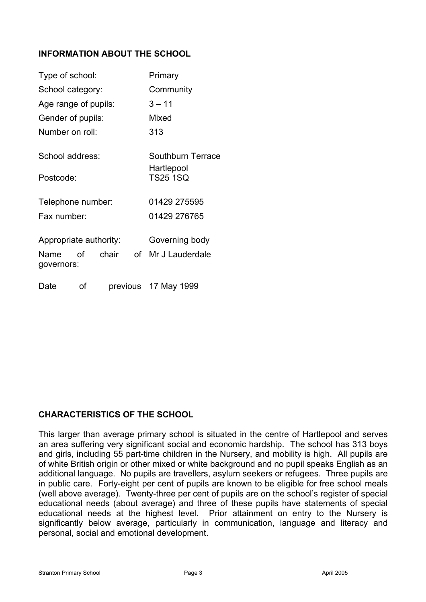# **INFORMATION ABOUT THE SCHOOL**

| Type of school:                              |      |       | Primary |                                                    |
|----------------------------------------------|------|-------|---------|----------------------------------------------------|
| School category:                             |      |       |         | Community                                          |
| Age range of pupils:                         |      |       |         | $3 - 11$                                           |
| Gender of pupils:                            |      |       |         | Mixed                                              |
| Number on roll:                              |      |       |         | 313                                                |
| School address:<br>Postcode:                 |      |       |         | Southburn Terrace<br>Hartlepool<br><b>TS25 1SQ</b> |
| Telephone number:                            |      |       |         | 01429 275595                                       |
| Fax number:                                  |      |       |         | 01429 276765                                       |
| Appropriate authority:<br>Name<br>governors: | of l | chair | of      | Governing body<br>Mr J Lauderdale                  |
| Date                                         | οf   |       |         | previous 17 May 1999                               |

# **CHARACTERISTICS OF THE SCHOOL**

This larger than average primary school is situated in the centre of Hartlepool and serves an area suffering very significant social and economic hardship. The school has 313 boys and girls, including 55 part-time children in the Nursery, and mobility is high. All pupils are of white British origin or other mixed or white background and no pupil speaks English as an additional language. No pupils are travellers, asylum seekers or refugees. Three pupils are in public care. Forty-eight per cent of pupils are known to be eligible for free school meals (well above average). Twenty-three per cent of pupils are on the school's register of special educational needs (about average) and three of these pupils have statements of special educational needs at the highest level. Prior attainment on entry to the Nursery is significantly below average, particularly in communication, language and literacy and personal, social and emotional development.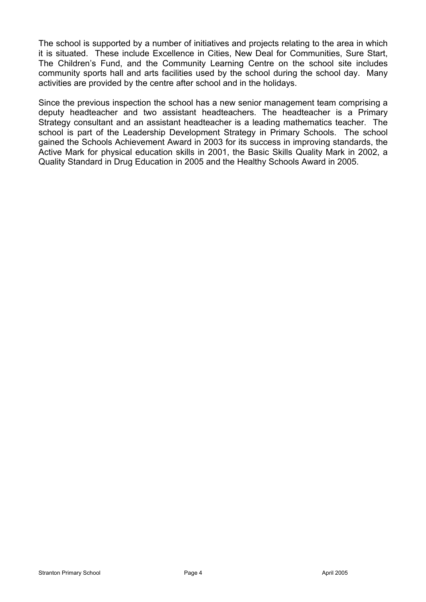The school is supported by a number of initiatives and projects relating to the area in which it is situated. These include Excellence in Cities, New Deal for Communities, Sure Start, The Children's Fund, and the Community Learning Centre on the school site includes community sports hall and arts facilities used by the school during the school day. Many activities are provided by the centre after school and in the holidays.

Since the previous inspection the school has a new senior management team comprising a deputy headteacher and two assistant headteachers. The headteacher is a Primary Strategy consultant and an assistant headteacher is a leading mathematics teacher. The school is part of the Leadership Development Strategy in Primary Schools. The school gained the Schools Achievement Award in 2003 for its success in improving standards, the Active Mark for physical education skills in 2001, the Basic Skills Quality Mark in 2002, a Quality Standard in Drug Education in 2005 and the Healthy Schools Award in 2005.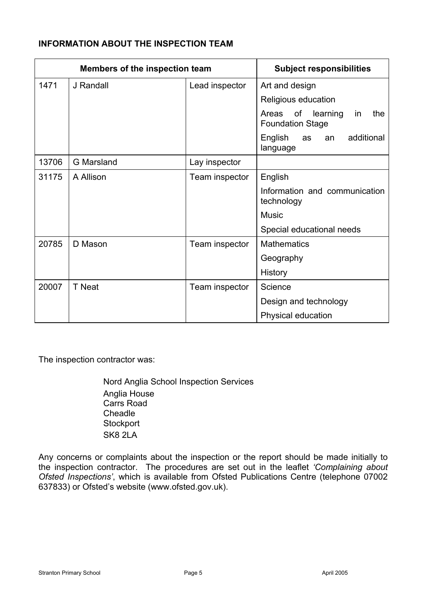# **INFORMATION ABOUT THE INSPECTION TEAM**

| <b>Members of the inspection team</b> |                   | <b>Subject responsibilities</b> |                                                                 |  |  |
|---------------------------------------|-------------------|---------------------------------|-----------------------------------------------------------------|--|--|
| 1471                                  | J Randall         | Lead inspector                  | Art and design                                                  |  |  |
|                                       |                   |                                 | Religious education                                             |  |  |
|                                       |                   |                                 | learning<br>of<br>the<br>Areas<br>in<br><b>Foundation Stage</b> |  |  |
|                                       |                   |                                 | additional<br>English<br>as<br>an<br>language                   |  |  |
| 13706                                 | <b>G</b> Marsland | Lay inspector                   |                                                                 |  |  |
| 31175                                 | A Allison         | Team inspector                  | English                                                         |  |  |
|                                       |                   |                                 | Information and communication<br>technology                     |  |  |
|                                       |                   |                                 | <b>Music</b>                                                    |  |  |
|                                       |                   |                                 | Special educational needs                                       |  |  |
| 20785                                 | D Mason           | Team inspector                  | <b>Mathematics</b>                                              |  |  |
|                                       |                   |                                 | Geography                                                       |  |  |
|                                       |                   |                                 | History                                                         |  |  |
| 20007                                 | T Neat            | Team inspector                  | Science                                                         |  |  |
|                                       |                   |                                 | Design and technology                                           |  |  |
|                                       |                   |                                 | Physical education                                              |  |  |

The inspection contractor was:

Nord Anglia School Inspection Services Anglia House Carrs Road Cheadle **Stockport** SK8 2LA

Any concerns or complaints about the inspection or the report should be made initially to the inspection contractor. The procedures are set out in the leaflet *'Complaining about Ofsted Inspections'*, which is available from Ofsted Publications Centre (telephone 07002 637833) or Ofsted's website (www.ofsted.gov.uk).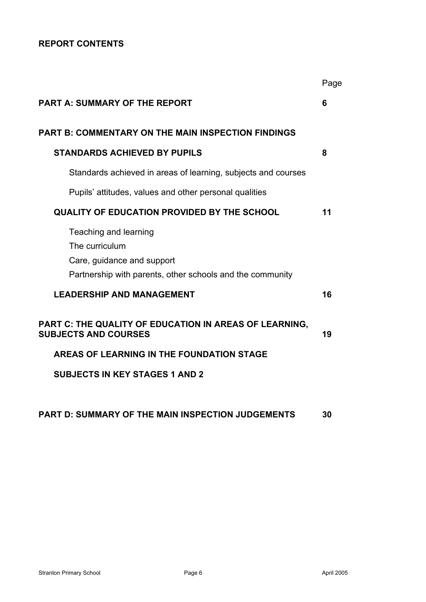# **REPORT CONTENTS**

|                                                                                                                                    | Page |
|------------------------------------------------------------------------------------------------------------------------------------|------|
| <b>PART A: SUMMARY OF THE REPORT</b>                                                                                               | 6    |
| <b>PART B: COMMENTARY ON THE MAIN INSPECTION FINDINGS</b>                                                                          |      |
| <b>STANDARDS ACHIEVED BY PUPILS</b>                                                                                                | 8    |
| Standards achieved in areas of learning, subjects and courses                                                                      |      |
| Pupils' attitudes, values and other personal qualities                                                                             |      |
| <b>QUALITY OF EDUCATION PROVIDED BY THE SCHOOL</b>                                                                                 | 11   |
| Teaching and learning<br>The curriculum<br>Care, guidance and support<br>Partnership with parents, other schools and the community |      |
| <b>LEADERSHIP AND MANAGEMENT</b>                                                                                                   | 16   |
| PART C: THE QUALITY OF EDUCATION IN AREAS OF LEARNING,<br><b>SUBJECTS AND COURSES</b>                                              | 19   |
| AREAS OF LEARNING IN THE FOUNDATION STAGE                                                                                          |      |
| <b>SUBJECTS IN KEY STAGES 1 AND 2</b>                                                                                              |      |
|                                                                                                                                    |      |
| <b>PART D: SUMMARY OF THE MAIN INSPECTION JUDGEMENTS</b>                                                                           | 30   |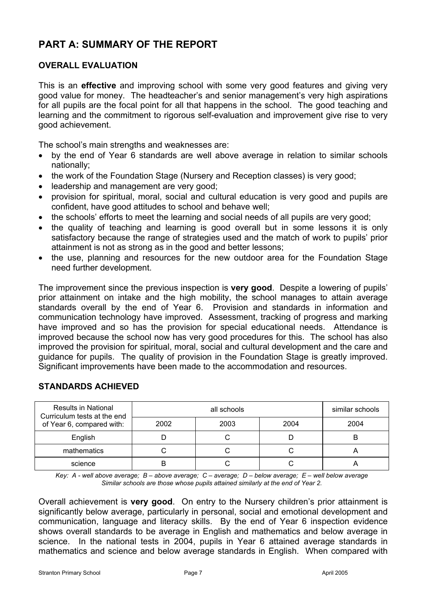# **PART A: SUMMARY OF THE REPORT**

# **OVERALL EVALUATION**

This is an **effective** and improving school with some very good features and giving very good value for money. The headteacher's and senior management's very high aspirations for all pupils are the focal point for all that happens in the school. The good teaching and learning and the commitment to rigorous self-evaluation and improvement give rise to very good achievement.

The school's main strengths and weaknesses are:

- by the end of Year 6 standards are well above average in relation to similar schools nationally;
- the work of the Foundation Stage (Nursery and Reception classes) is very good;
- leadership and management are very good;
- provision for spiritual, moral, social and cultural education is very good and pupils are confident, have good attitudes to school and behave well;
- the schools' efforts to meet the learning and social needs of all pupils are very good;
- the quality of teaching and learning is good overall but in some lessons it is only satisfactory because the range of strategies used and the match of work to pupils' prior attainment is not as strong as in the good and better lessons;
- the use, planning and resources for the new outdoor area for the Foundation Stage need further development.

The improvement since the previous inspection is **very good**. Despite a lowering of pupils' prior attainment on intake and the high mobility, the school manages to attain average standards overall by the end of Year 6. Provision and standards in information and communication technology have improved. Assessment, tracking of progress and marking have improved and so has the provision for special educational needs. Attendance is improved because the school now has very good procedures for this. The school has also improved the provision for spiritual, moral, social and cultural development and the care and guidance for pupils. The quality of provision in the Foundation Stage is greatly improved. Significant improvements have been made to the accommodation and resources.

| <b>Results in National</b><br>Curriculum tests at the end<br>of Year 6, compared with: |      | similar schools |      |      |
|----------------------------------------------------------------------------------------|------|-----------------|------|------|
|                                                                                        | 2002 | 2003            | 2004 | 2004 |
| English                                                                                |      |                 |      | B    |
| mathematics                                                                            |      |                 |      |      |
| science                                                                                |      |                 |      |      |

# **STANDARDS ACHIEVED**

*Key: A - well above average; B – above average; C – average; D – below average; E – well below average Similar schools are those whose pupils attained similarly at the end of Year 2.* 

Overall achievement is **very good**. On entry to the Nursery children's prior attainment is significantly below average, particularly in personal, social and emotional development and communication, language and literacy skills. By the end of Year 6 inspection evidence shows overall standards to be average in English and mathematics and below average in science. In the national tests in 2004, pupils in Year 6 attained average standards in mathematics and science and below average standards in English. When compared with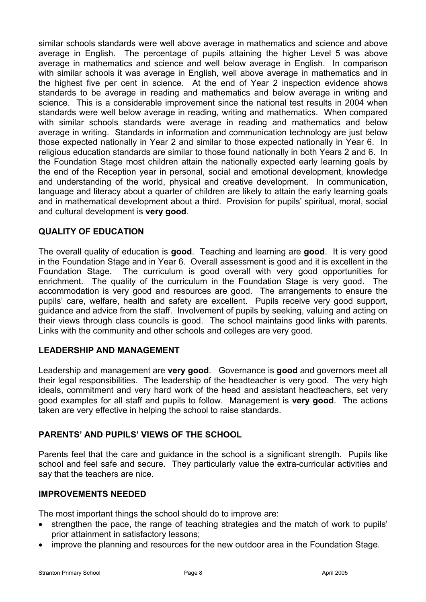similar schools standards were well above average in mathematics and science and above average in English. The percentage of pupils attaining the higher Level 5 was above average in mathematics and science and well below average in English. In comparison with similar schools it was average in English, well above average in mathematics and in the highest five per cent in science. At the end of Year 2 inspection evidence shows standards to be average in reading and mathematics and below average in writing and science. This is a considerable improvement since the national test results in 2004 when standards were well below average in reading, writing and mathematics. When compared with similar schools standards were average in reading and mathematics and below average in writing. Standards in information and communication technology are just below those expected nationally in Year 2 and similar to those expected nationally in Year 6. In religious education standards are similar to those found nationally in both Years 2 and 6. In the Foundation Stage most children attain the nationally expected early learning goals by the end of the Reception year in personal, social and emotional development, knowledge and understanding of the world, physical and creative development. In communication, language and literacy about a quarter of children are likely to attain the early learning goals and in mathematical development about a third. Provision for pupils' spiritual, moral, social and cultural development is **very good**.

# **QUALITY OF EDUCATION**

The overall quality of education is **good**. Teaching and learning are **good**. It is very good in the Foundation Stage and in Year 6. Overall assessment is good and it is excellent in the Foundation Stage. The curriculum is good overall with very good opportunities for enrichment. The quality of the curriculum in the Foundation Stage is very good. The accommodation is very good and resources are good. The arrangements to ensure the pupils' care, welfare, health and safety are excellent. Pupils receive very good support, guidance and advice from the staff. Involvement of pupils by seeking, valuing and acting on their views through class councils is good. The school maintains good links with parents. Links with the community and other schools and colleges are very good.

# **LEADERSHIP AND MANAGEMENT**

Leadership and management are **very good**. Governance is **good** and governors meet all their legal responsibilities. The leadership of the headteacher is very good. The very high ideals, commitment and very hard work of the head and assistant headteachers, set very good examples for all staff and pupils to follow. Management is **very good**. The actions taken are very effective in helping the school to raise standards.

# **PARENTS' AND PUPILS' VIEWS OF THE SCHOOL**

Parents feel that the care and guidance in the school is a significant strength. Pupils like school and feel safe and secure. They particularly value the extra-curricular activities and say that the teachers are nice.

# **IMPROVEMENTS NEEDED**

The most important things the school should do to improve are:

- strengthen the pace, the range of teaching strategies and the match of work to pupils' prior attainment in satisfactory lessons;
- improve the planning and resources for the new outdoor area in the Foundation Stage.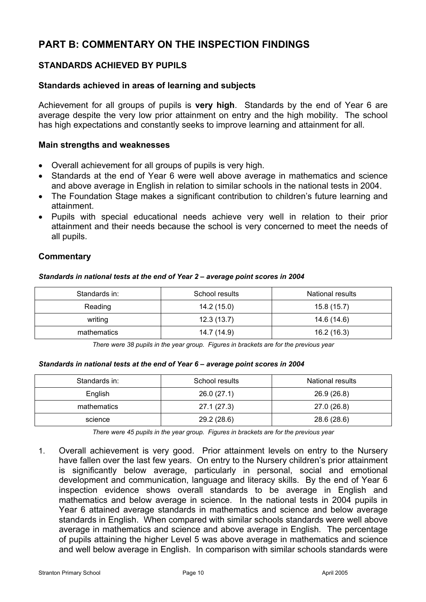# **PART B: COMMENTARY ON THE INSPECTION FINDINGS**

# **STANDARDS ACHIEVED BY PUPILS**

# **Standards achieved in areas of learning and subjects**

Achievement for all groups of pupils is **very high**. Standards by the end of Year 6 are average despite the very low prior attainment on entry and the high mobility. The school has high expectations and constantly seeks to improve learning and attainment for all.

### **Main strengths and weaknesses**

- Overall achievement for all groups of pupils is very high.
- Standards at the end of Year 6 were well above average in mathematics and science and above average in English in relation to similar schools in the national tests in 2004.
- The Foundation Stage makes a significant contribution to children's future learning and attainment.
- Pupils with special educational needs achieve very well in relation to their prior attainment and their needs because the school is very concerned to meet the needs of all pupils.

# **Commentary**

#### *Standards in national tests at the end of Year 2 – average point scores in 2004*

| Standards in: | School results | <b>National results</b> |  |
|---------------|----------------|-------------------------|--|
| Reading       | 14.2 (15.0)    | 15.8(15.7)              |  |
| writing       | 12.3(13.7)     | 14.6 (14.6)             |  |
| mathematics   | 14.7 (14.9)    | 16.2 (16.3)             |  |

*There were 38 pupils in the year group. Figures in brackets are for the previous year* 

#### *Standards in national tests at the end of Year 6 – average point scores in 2004*

| Standards in: | School results | <b>National results</b> |  |  |
|---------------|----------------|-------------------------|--|--|
| English       | 26.0(27.1)     | 26.9 (26.8)             |  |  |
| mathematics   | 27.1(27.3)     | 27.0 (26.8)             |  |  |
| science       | 29.2 (28.6)    | 28.6 (28.6)             |  |  |

*There were 45 pupils in the year group. Figures in brackets are for the previous year* 

1. Overall achievement is very good. Prior attainment levels on entry to the Nursery have fallen over the last few years. On entry to the Nursery children's prior attainment is significantly below average, particularly in personal, social and emotional development and communication, language and literacy skills. By the end of Year 6 inspection evidence shows overall standards to be average in English and mathematics and below average in science. In the national tests in 2004 pupils in Year 6 attained average standards in mathematics and science and below average standards in English. When compared with similar schools standards were well above average in mathematics and science and above average in English. The percentage of pupils attaining the higher Level 5 was above average in mathematics and science and well below average in English. In comparison with similar schools standards were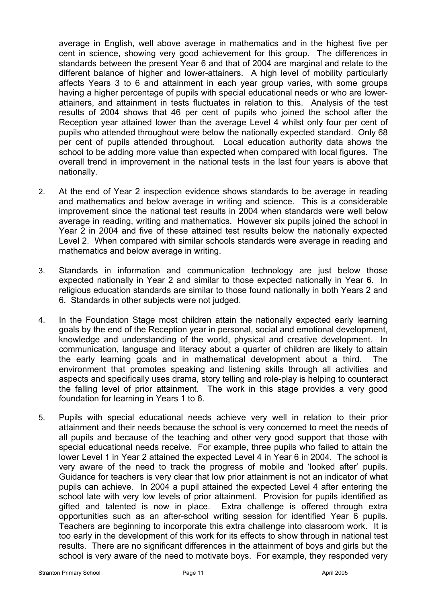average in English, well above average in mathematics and in the highest five per cent in science, showing very good achievement for this group. The differences in standards between the present Year 6 and that of 2004 are marginal and relate to the different balance of higher and lower-attainers. A high level of mobility particularly affects Years 3 to 6 and attainment in each year group varies, with some groups having a higher percentage of pupils with special educational needs or who are lowerattainers, and attainment in tests fluctuates in relation to this. Analysis of the test results of 2004 shows that 46 per cent of pupils who joined the school after the Reception year attained lower than the average Level 4 whilst only four per cent of pupils who attended throughout were below the nationally expected standard. Only 68 per cent of pupils attended throughout. Local education authority data shows the school to be adding more value than expected when compared with local figures. The overall trend in improvement in the national tests in the last four years is above that nationally.

- 2. At the end of Year 2 inspection evidence shows standards to be average in reading and mathematics and below average in writing and science. This is a considerable improvement since the national test results in 2004 when standards were well below average in reading, writing and mathematics. However six pupils joined the school in Year 2 in 2004 and five of these attained test results below the nationally expected Level 2. When compared with similar schools standards were average in reading and mathematics and below average in writing.
- 3. Standards in information and communication technology are just below those expected nationally in Year 2 and similar to those expected nationally in Year 6. In religious education standards are similar to those found nationally in both Years 2 and 6. Standards in other subjects were not judged.
- 4. In the Foundation Stage most children attain the nationally expected early learning goals by the end of the Reception year in personal, social and emotional development, knowledge and understanding of the world, physical and creative development. In communication, language and literacy about a quarter of children are likely to attain the early learning goals and in mathematical development about a third. The environment that promotes speaking and listening skills through all activities and aspects and specifically uses drama, story telling and role-play is helping to counteract the falling level of prior attainment. The work in this stage provides a very good foundation for learning in Years 1 to 6.
- 5. Pupils with special educational needs achieve very well in relation to their prior attainment and their needs because the school is very concerned to meet the needs of all pupils and because of the teaching and other very good support that those with special educational needs receive. For example, three pupils who failed to attain the lower Level 1 in Year 2 attained the expected Level 4 in Year 6 in 2004. The school is very aware of the need to track the progress of mobile and 'looked after' pupils. Guidance for teachers is very clear that low prior attainment is not an indicator of what pupils can achieve. In 2004 a pupil attained the expected Level 4 after entering the school late with very low levels of prior attainment. Provision for pupils identified as gifted and talented is now in place. Extra challenge is offered through extra opportunities such as an after-school writing session for identified Year 6 pupils. Teachers are beginning to incorporate this extra challenge into classroom work. It is too early in the development of this work for its effects to show through in national test results. There are no significant differences in the attainment of boys and girls but the school is very aware of the need to motivate boys. For example, they responded very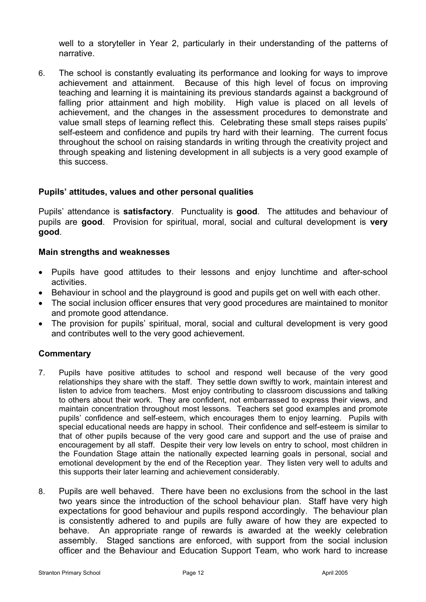well to a storyteller in Year 2, particularly in their understanding of the patterns of narrative.

6. The school is constantly evaluating its performance and looking for ways to improve achievement and attainment. Because of this high level of focus on improving teaching and learning it is maintaining its previous standards against a background of falling prior attainment and high mobility. High value is placed on all levels of achievement, and the changes in the assessment procedures to demonstrate and value small steps of learning reflect this. Celebrating these small steps raises pupils' self-esteem and confidence and pupils try hard with their learning. The current focus throughout the school on raising standards in writing through the creativity project and through speaking and listening development in all subjects is a very good example of this success.

# **Pupils' attitudes, values and other personal qualities**

Pupils' attendance is **satisfactory**. Punctuality is **good**. The attitudes and behaviour of pupils are **good**. Provision for spiritual, moral, social and cultural development is **very good**.

### **Main strengths and weaknesses**

- Pupils have good attitudes to their lessons and enjoy lunchtime and after-school activities.
- Behaviour in school and the playground is good and pupils get on well with each other.
- The social inclusion officer ensures that very good procedures are maintained to monitor and promote good attendance.
- The provision for pupils' spiritual, moral, social and cultural development is very good and contributes well to the very good achievement.

- 7. Pupils have positive attitudes to school and respond well because of the very good relationships they share with the staff. They settle down swiftly to work, maintain interest and listen to advice from teachers. Most enjoy contributing to classroom discussions and talking to others about their work. They are confident, not embarrassed to express their views, and maintain concentration throughout most lessons. Teachers set good examples and promote pupils' confidence and self-esteem, which encourages them to enjoy learning. Pupils with special educational needs are happy in school. Their confidence and self-esteem is similar to that of other pupils because of the very good care and support and the use of praise and encouragement by all staff. Despite their very low levels on entry to school, most children in the Foundation Stage attain the nationally expected learning goals in personal, social and emotional development by the end of the Reception year. They listen very well to adults and this supports their later learning and achievement considerably.
- 8. Pupils are well behaved. There have been no exclusions from the school in the last two years since the introduction of the school behaviour plan. Staff have very high expectations for good behaviour and pupils respond accordingly. The behaviour plan is consistently adhered to and pupils are fully aware of how they are expected to behave. An appropriate range of rewards is awarded at the weekly celebration assembly. Staged sanctions are enforced, with support from the social inclusion officer and the Behaviour and Education Support Team, who work hard to increase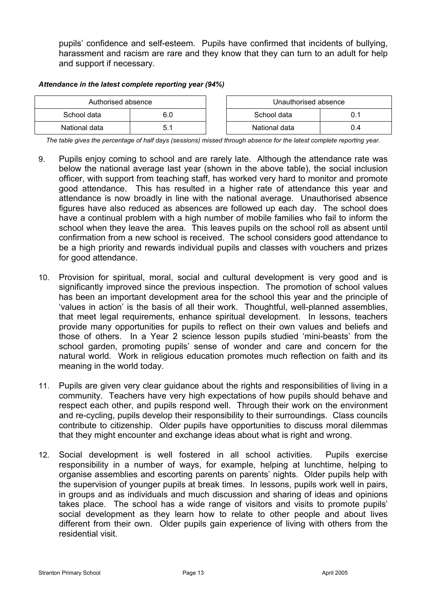pupils' confidence and self-esteem. Pupils have confirmed that incidents of bullying, harassment and racism are rare and they know that they can turn to an adult for help and support if necessary.

#### *Attendance in the latest complete reporting year (94%)*

| Authorised absence |     | Unauthorised absence |     |  |
|--------------------|-----|----------------------|-----|--|
| School data        | 6.0 | School data          |     |  |
| National data      |     | National data        | 0.4 |  |

*The table gives the percentage of half days (sessions) missed through absence for the latest complete reporting year.*

- 9. Pupils enjoy coming to school and are rarely late. Although the attendance rate was below the national average last year (shown in the above table), the social inclusion officer, with support from teaching staff, has worked very hard to monitor and promote good attendance. This has resulted in a higher rate of attendance this year and attendance is now broadly in line with the national average. Unauthorised absence figures have also reduced as absences are followed up each day. The school does have a continual problem with a high number of mobile families who fail to inform the school when they leave the area. This leaves pupils on the school roll as absent until confirmation from a new school is received. The school considers good attendance to be a high priority and rewards individual pupils and classes with vouchers and prizes for good attendance.
- 10. Provision for spiritual, moral, social and cultural development is very good and is significantly improved since the previous inspection. The promotion of school values has been an important development area for the school this year and the principle of 'values in action' is the basis of all their work. Thoughtful, well-planned assemblies, that meet legal requirements, enhance spiritual development. In lessons, teachers provide many opportunities for pupils to reflect on their own values and beliefs and those of others. In a Year 2 science lesson pupils studied 'mini-beasts' from the school garden, promoting pupils' sense of wonder and care and concern for the natural world. Work in religious education promotes much reflection on faith and its meaning in the world today.
- 11. Pupils are given very clear guidance about the rights and responsibilities of living in a community. Teachers have very high expectations of how pupils should behave and respect each other, and pupils respond well. Through their work on the environment and re-cycling, pupils develop their responsibility to their surroundings. Class councils contribute to citizenship. Older pupils have opportunities to discuss moral dilemmas that they might encounter and exchange ideas about what is right and wrong.
- 12. Social development is well fostered in all school activities. Pupils exercise responsibility in a number of ways, for example, helping at lunchtime, helping to organise assemblies and escorting parents on parents' nights. Older pupils help with the supervision of younger pupils at break times. In lessons, pupils work well in pairs, in groups and as individuals and much discussion and sharing of ideas and opinions takes place. The school has a wide range of visitors and visits to promote pupils' social development as they learn how to relate to other people and about lives different from their own. Older pupils gain experience of living with others from the residential visit.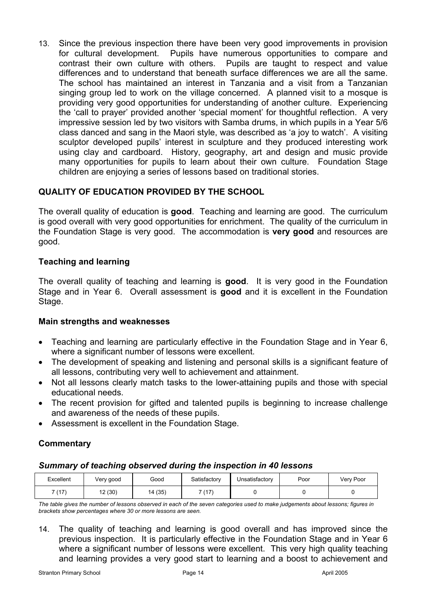13. Since the previous inspection there have been very good improvements in provision for cultural development. Pupils have numerous opportunities to compare and contrast their own culture with others. Pupils are taught to respect and value differences and to understand that beneath surface differences we are all the same. The school has maintained an interest in Tanzania and a visit from a Tanzanian singing group led to work on the village concerned. A planned visit to a mosque is providing very good opportunities for understanding of another culture. Experiencing the 'call to prayer' provided another 'special moment' for thoughtful reflection. A very impressive session led by two visitors with Samba drums, in which pupils in a Year 5/6 class danced and sang in the Maori style, was described as 'a joy to watch'. A visiting sculptor developed pupils' interest in sculpture and they produced interesting work using clay and cardboard. History, geography, art and design and music provide many opportunities for pupils to learn about their own culture. Foundation Stage children are enjoying a series of lessons based on traditional stories.

# **QUALITY OF EDUCATION PROVIDED BY THE SCHOOL**

The overall quality of education is **good**. Teaching and learning are good. The curriculum is good overall with very good opportunities for enrichment. The quality of the curriculum in the Foundation Stage is very good. The accommodation is **very good** and resources are good.

# **Teaching and learning**

The overall quality of teaching and learning is **good**. It is very good in the Foundation Stage and in Year 6. Overall assessment is **good** and it is excellent in the Foundation Stage.

# **Main strengths and weaknesses**

- Teaching and learning are particularly effective in the Foundation Stage and in Year 6, where a significant number of lessons were excellent.
- The development of speaking and listening and personal skills is a significant feature of all lessons, contributing very well to achievement and attainment.
- Not all lessons clearly match tasks to the lower-attaining pupils and those with special educational needs.
- The recent provision for gifted and talented pupils is beginning to increase challenge and awareness of the needs of these pupils.
- Assessment is excellent in the Foundation Stage.

# **Commentary**

# *Summary of teaching observed during the inspection in 40 lessons*

| Excellent    | Very good  | Good    | Satisfactory | Unsatisfactory | Poor | Very Poor |
|--------------|------------|---------|--------------|----------------|------|-----------|
| (47)<br>. 17 | (30)<br>12 | 14 (35) | (17)         |                |      |           |

*The table gives the number of lessons observed in each of the seven categories used to make judgements about lessons; figures in brackets show percentages where 30 or more lessons are seen.* 

14. The quality of teaching and learning is good overall and has improved since the previous inspection. It is particularly effective in the Foundation Stage and in Year 6 where a significant number of lessons were excellent. This very high quality teaching and learning provides a very good start to learning and a boost to achievement and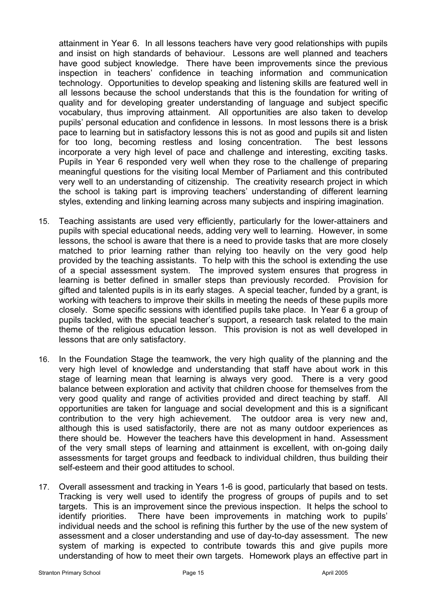attainment in Year 6. In all lessons teachers have very good relationships with pupils and insist on high standards of behaviour. Lessons are well planned and teachers have good subject knowledge. There have been improvements since the previous inspection in teachers' confidence in teaching information and communication technology. Opportunities to develop speaking and listening skills are featured well in all lessons because the school understands that this is the foundation for writing of quality and for developing greater understanding of language and subject specific vocabulary, thus improving attainment. All opportunities are also taken to develop pupils' personal education and confidence in lessons. In most lessons there is a brisk pace to learning but in satisfactory lessons this is not as good and pupils sit and listen for too long, becoming restless and losing concentration. The best lessons incorporate a very high level of pace and challenge and interesting, exciting tasks. Pupils in Year 6 responded very well when they rose to the challenge of preparing meaningful questions for the visiting local Member of Parliament and this contributed very well to an understanding of citizenship. The creativity research project in which the school is taking part is improving teachers' understanding of different learning styles, extending and linking learning across many subjects and inspiring imagination.

- 15. Teaching assistants are used very efficiently, particularly for the lower-attainers and pupils with special educational needs, adding very well to learning. However, in some lessons, the school is aware that there is a need to provide tasks that are more closely matched to prior learning rather than relying too heavily on the very good help provided by the teaching assistants. To help with this the school is extending the use of a special assessment system. The improved system ensures that progress in learning is better defined in smaller steps than previously recorded. Provision for gifted and talented pupils is in its early stages. A special teacher, funded by a grant, is working with teachers to improve their skills in meeting the needs of these pupils more closely. Some specific sessions with identified pupils take place. In Year 6 a group of pupils tackled, with the special teacher's support, a research task related to the main theme of the religious education lesson. This provision is not as well developed in lessons that are only satisfactory.
- 16. In the Foundation Stage the teamwork, the very high quality of the planning and the very high level of knowledge and understanding that staff have about work in this stage of learning mean that learning is always very good. There is a very good balance between exploration and activity that children choose for themselves from the very good quality and range of activities provided and direct teaching by staff. All opportunities are taken for language and social development and this is a significant contribution to the very high achievement. The outdoor area is very new and, although this is used satisfactorily, there are not as many outdoor experiences as there should be. However the teachers have this development in hand. Assessment of the very small steps of learning and attainment is excellent, with on-going daily assessments for target groups and feedback to individual children, thus building their self-esteem and their good attitudes to school.
- 17. Overall assessment and tracking in Years 1-6 is good, particularly that based on tests. Tracking is very well used to identify the progress of groups of pupils and to set targets. This is an improvement since the previous inspection. It helps the school to identify priorities. There have been improvements in matching work to pupils' individual needs and the school is refining this further by the use of the new system of assessment and a closer understanding and use of day-to-day assessment. The new system of marking is expected to contribute towards this and give pupils more understanding of how to meet their own targets. Homework plays an effective part in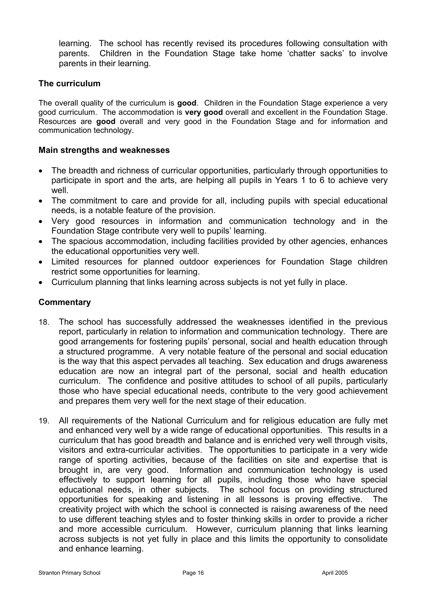learning. The school has recently revised its procedures following consultation with parents. Children in the Foundation Stage take home 'chatter sacks' to involve parents in their learning.

# **The curriculum**

The overall quality of the curriculum is **good**. Children in the Foundation Stage experience a very good curriculum. The accommodation is **very good** overall and excellent in the Foundation Stage. Resources are **good** overall and very good in the Foundation Stage and for information and communication technology.

# **Main strengths and weaknesses**

- The breadth and richness of curricular opportunities, particularly through opportunities to participate in sport and the arts, are helping all pupils in Years 1 to 6 to achieve very well.
- The commitment to care and provide for all, including pupils with special educational needs, is a notable feature of the provision.
- Very good resources in information and communication technology and in the Foundation Stage contribute very well to pupils' learning.
- The spacious accommodation, including facilities provided by other agencies, enhances the educational opportunities very well.
- Limited resources for planned outdoor experiences for Foundation Stage children restrict some opportunities for learning.
- Curriculum planning that links learning across subjects is not yet fully in place.

- 18. The school has successfully addressed the weaknesses identified in the previous report, particularly in relation to information and communication technology. There are good arrangements for fostering pupils' personal, social and health education through a structured programme. A very notable feature of the personal and social education is the way that this aspect pervades all teaching. Sex education and drugs awareness education are now an integral part of the personal, social and health education curriculum. The confidence and positive attitudes to school of all pupils, particularly those who have special educational needs, contribute to the very good achievement and prepares them very well for the next stage of their education.
- 19. All requirements of the National Curriculum and for religious education are fully met and enhanced very well by a wide range of educational opportunities. This results in a curriculum that has good breadth and balance and is enriched very well through visits, visitors and extra-curricular activities. The opportunities to participate in a very wide range of sporting activities, because of the facilities on site and expertise that is brought in, are very good. Information and communication technology is used effectively to support learning for all pupils, including those who have special educational needs, in other subjects. The school focus on providing structured opportunities for speaking and listening in all lessons is proving effective. The creativity project with which the school is connected is raising awareness of the need to use different teaching styles and to foster thinking skills in order to provide a richer and more accessible curriculum. However, curriculum planning that links learning across subjects is not yet fully in place and this limits the opportunity to consolidate and enhance learning.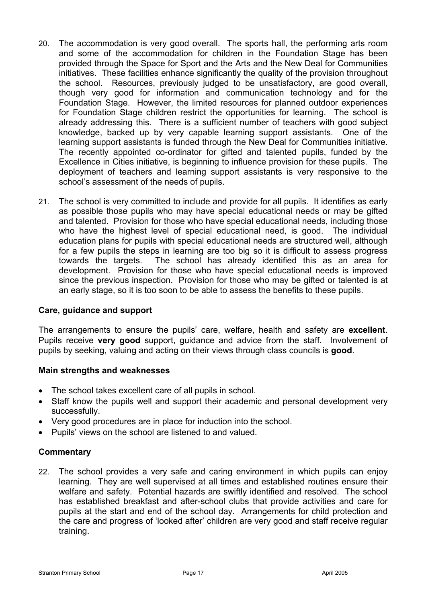- 20. The accommodation is very good overall. The sports hall, the performing arts room and some of the accommodation for children in the Foundation Stage has been provided through the Space for Sport and the Arts and the New Deal for Communities initiatives. These facilities enhance significantly the quality of the provision throughout the school. Resources, previously judged to be unsatisfactory, are good overall, though very good for information and communication technology and for the Foundation Stage. However, the limited resources for planned outdoor experiences for Foundation Stage children restrict the opportunities for learning. The school is already addressing this. There is a sufficient number of teachers with good subject knowledge, backed up by very capable learning support assistants. One of the learning support assistants is funded through the New Deal for Communities initiative. The recently appointed co-ordinator for gifted and talented pupils, funded by the Excellence in Cities initiative, is beginning to influence provision for these pupils. The deployment of teachers and learning support assistants is very responsive to the school's assessment of the needs of pupils.
- 21. The school is very committed to include and provide for all pupils. It identifies as early as possible those pupils who may have special educational needs or may be gifted and talented. Provision for those who have special educational needs, including those who have the highest level of special educational need, is good. The individual education plans for pupils with special educational needs are structured well, although for a few pupils the steps in learning are too big so it is difficult to assess progress towards the targets. The school has already identified this as an area for development. Provision for those who have special educational needs is improved since the previous inspection. Provision for those who may be gifted or talented is at an early stage, so it is too soon to be able to assess the benefits to these pupils.

# **Care, guidance and support**

The arrangements to ensure the pupils' care, welfare, health and safety are **excellent**. Pupils receive **very good** support, guidance and advice from the staff. Involvement of pupils by seeking, valuing and acting on their views through class councils is **good**.

# **Main strengths and weaknesses**

- The school takes excellent care of all pupils in school.
- Staff know the pupils well and support their academic and personal development very successfully.
- Very good procedures are in place for induction into the school.
- Pupils' views on the school are listened to and valued.

# **Commentary**

22. The school provides a very safe and caring environment in which pupils can enjoy learning. They are well supervised at all times and established routines ensure their welfare and safety. Potential hazards are swiftly identified and resolved. The school has established breakfast and after-school clubs that provide activities and care for pupils at the start and end of the school day. Arrangements for child protection and the care and progress of 'looked after' children are very good and staff receive regular training.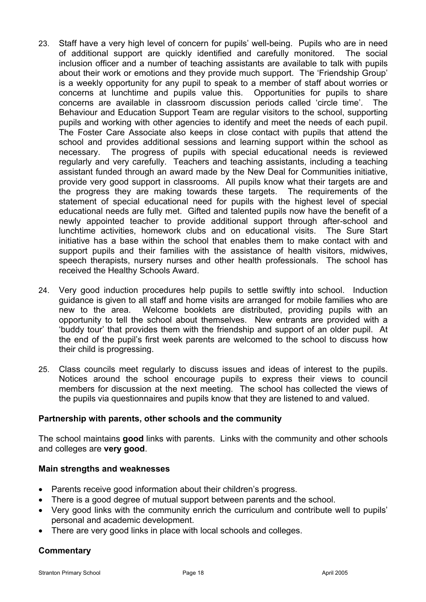- 23. Staff have a very high level of concern for pupils' well-being. Pupils who are in need of additional support are quickly identified and carefully monitored. The social inclusion officer and a number of teaching assistants are available to talk with pupils about their work or emotions and they provide much support. The 'Friendship Group' is a weekly opportunity for any pupil to speak to a member of staff about worries or concerns at lunchtime and pupils value this. Opportunities for pupils to share concerns are available in classroom discussion periods called 'circle time'. The Behaviour and Education Support Team are regular visitors to the school, supporting pupils and working with other agencies to identify and meet the needs of each pupil. The Foster Care Associate also keeps in close contact with pupils that attend the school and provides additional sessions and learning support within the school as necessary. The progress of pupils with special educational needs is reviewed regularly and very carefully. Teachers and teaching assistants, including a teaching assistant funded through an award made by the New Deal for Communities initiative, provide very good support in classrooms. All pupils know what their targets are and the progress they are making towards these targets. The requirements of the statement of special educational need for pupils with the highest level of special educational needs are fully met. Gifted and talented pupils now have the benefit of a newly appointed teacher to provide additional support through after-school and lunchtime activities, homework clubs and on educational visits. The Sure Start initiative has a base within the school that enables them to make contact with and support pupils and their families with the assistance of health visitors, midwives, speech therapists, nursery nurses and other health professionals. The school has received the Healthy Schools Award.
- 24. Very good induction procedures help pupils to settle swiftly into school. Induction guidance is given to all staff and home visits are arranged for mobile families who are new to the area. Welcome booklets are distributed, providing pupils with an opportunity to tell the school about themselves. New entrants are provided with a 'buddy tour' that provides them with the friendship and support of an older pupil. At the end of the pupil's first week parents are welcomed to the school to discuss how their child is progressing.
- 25. Class councils meet regularly to discuss issues and ideas of interest to the pupils. Notices around the school encourage pupils to express their views to council members for discussion at the next meeting. The school has collected the views of the pupils via questionnaires and pupils know that they are listened to and valued.

# **Partnership with parents, other schools and the community**

The school maintains **good** links with parents. Links with the community and other schools and colleges are **very good**.

#### **Main strengths and weaknesses**

- Parents receive good information about their children's progress.
- There is a good degree of mutual support between parents and the school.
- Very good links with the community enrich the curriculum and contribute well to pupils' personal and academic development.
- There are very good links in place with local schools and colleges.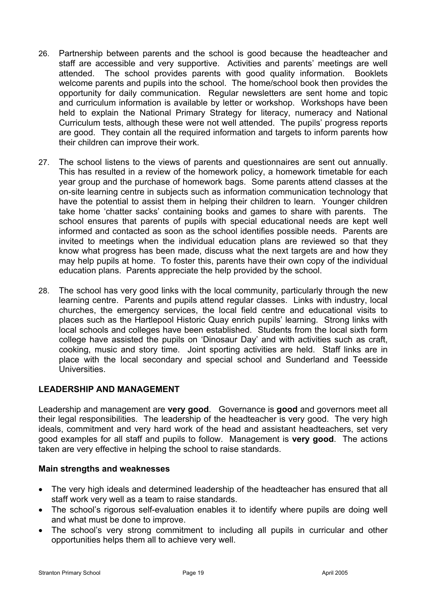- 26. Partnership between parents and the school is good because the headteacher and staff are accessible and very supportive. Activities and parents' meetings are well attended. The school provides parents with good quality information. Booklets welcome parents and pupils into the school. The home/school book then provides the opportunity for daily communication. Regular newsletters are sent home and topic and curriculum information is available by letter or workshop. Workshops have been held to explain the National Primary Strategy for literacy, numeracy and National Curriculum tests, although these were not well attended. The pupils' progress reports are good. They contain all the required information and targets to inform parents how their children can improve their work.
- 27. The school listens to the views of parents and questionnaires are sent out annually. This has resulted in a review of the homework policy, a homework timetable for each year group and the purchase of homework bags. Some parents attend classes at the on-site learning centre in subjects such as information communication technology that have the potential to assist them in helping their children to learn. Younger children take home 'chatter sacks' containing books and games to share with parents. The school ensures that parents of pupils with special educational needs are kept well informed and contacted as soon as the school identifies possible needs. Parents are invited to meetings when the individual education plans are reviewed so that they know what progress has been made, discuss what the next targets are and how they may help pupils at home. To foster this, parents have their own copy of the individual education plans. Parents appreciate the help provided by the school.
- 28. The school has very good links with the local community, particularly through the new learning centre. Parents and pupils attend regular classes. Links with industry, local churches, the emergency services, the local field centre and educational visits to places such as the Hartlepool Historic Quay enrich pupils' learning. Strong links with local schools and colleges have been established. Students from the local sixth form college have assisted the pupils on 'Dinosaur Day' and with activities such as craft, cooking, music and story time. Joint sporting activities are held. Staff links are in place with the local secondary and special school and Sunderland and Teesside Universities.

# **LEADERSHIP AND MANAGEMENT**

Leadership and management are **very good**. Governance is **good** and governors meet all their legal responsibilities. The leadership of the headteacher is very good. The very high ideals, commitment and very hard work of the head and assistant headteachers, set very good examples for all staff and pupils to follow. Management is **very good**. The actions taken are very effective in helping the school to raise standards.

# **Main strengths and weaknesses**

- The very high ideals and determined leadership of the headteacher has ensured that all staff work very well as a team to raise standards.
- The school's rigorous self-evaluation enables it to identify where pupils are doing well and what must be done to improve.
- The school's very strong commitment to including all pupils in curricular and other opportunities helps them all to achieve very well.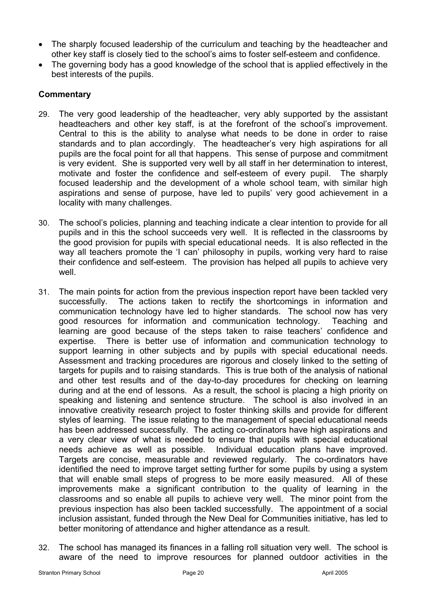- The sharply focused leadership of the curriculum and teaching by the headteacher and other key staff is closely tied to the school's aims to foster self-esteem and confidence.
- The governing body has a good knowledge of the school that is applied effectively in the best interests of the pupils.

- 29. The very good leadership of the headteacher, very ably supported by the assistant headteachers and other key staff, is at the forefront of the school's improvement. Central to this is the ability to analyse what needs to be done in order to raise standards and to plan accordingly. The headteacher's very high aspirations for all pupils are the focal point for all that happens. This sense of purpose and commitment is very evident. She is supported very well by all staff in her determination to interest, motivate and foster the confidence and self-esteem of every pupil. The sharply focused leadership and the development of a whole school team, with similar high aspirations and sense of purpose, have led to pupils' very good achievement in a locality with many challenges.
- 30. The school's policies, planning and teaching indicate a clear intention to provide for all pupils and in this the school succeeds very well. It is reflected in the classrooms by the good provision for pupils with special educational needs. It is also reflected in the way all teachers promote the 'I can' philosophy in pupils, working very hard to raise their confidence and self-esteem. The provision has helped all pupils to achieve very well.
- 31. The main points for action from the previous inspection report have been tackled very successfully. The actions taken to rectify the shortcomings in information and communication technology have led to higher standards. The school now has very good resources for information and communication technology. Teaching and learning are good because of the steps taken to raise teachers' confidence and expertise. There is better use of information and communication technology to support learning in other subjects and by pupils with special educational needs. Assessment and tracking procedures are rigorous and closely linked to the setting of targets for pupils and to raising standards. This is true both of the analysis of national and other test results and of the day-to-day procedures for checking on learning during and at the end of lessons. As a result, the school is placing a high priority on speaking and listening and sentence structure. The school is also involved in an innovative creativity research project to foster thinking skills and provide for different styles of learning. The issue relating to the management of special educational needs has been addressed successfully. The acting co-ordinators have high aspirations and a very clear view of what is needed to ensure that pupils with special educational needs achieve as well as possible. Individual education plans have improved. Targets are concise, measurable and reviewed regularly. The co-ordinators have identified the need to improve target setting further for some pupils by using a system that will enable small steps of progress to be more easily measured. All of these improvements make a significant contribution to the quality of learning in the classrooms and so enable all pupils to achieve very well. The minor point from the previous inspection has also been tackled successfully. The appointment of a social inclusion assistant, funded through the New Deal for Communities initiative, has led to better monitoring of attendance and higher attendance as a result.
- 32. The school has managed its finances in a falling roll situation very well. The school is aware of the need to improve resources for planned outdoor activities in the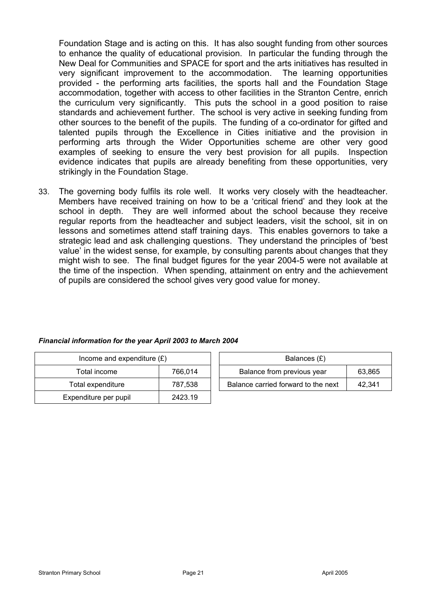Foundation Stage and is acting on this. It has also sought funding from other sources to enhance the quality of educational provision. In particular the funding through the New Deal for Communities and SPACE for sport and the arts initiatives has resulted in very significant improvement to the accommodation. The learning opportunities provided - the performing arts facilities, the sports hall and the Foundation Stage accommodation, together with access to other facilities in the Stranton Centre, enrich the curriculum very significantly. This puts the school in a good position to raise standards and achievement further. The school is very active in seeking funding from other sources to the benefit of the pupils. The funding of a co-ordinator for gifted and talented pupils through the Excellence in Cities initiative and the provision in performing arts through the Wider Opportunities scheme are other very good examples of seeking to ensure the very best provision for all pupils. Inspection evidence indicates that pupils are already benefiting from these opportunities, very strikingly in the Foundation Stage.

33. The governing body fulfils its role well. It works very closely with the headteacher. Members have received training on how to be a 'critical friend' and they look at the school in depth. They are well informed about the school because they receive regular reports from the headteacher and subject leaders, visit the school, sit in on lessons and sometimes attend staff training days. This enables governors to take a strategic lead and ask challenging questions. They understand the principles of 'best value' in the widest sense, for example, by consulting parents about changes that they might wish to see. The final budget figures for the year 2004-5 were not available at the time of the inspection. When spending, attainment on entry and the achievement of pupils are considered the school gives very good value for money.

| Income and expenditure $(E)$     |         | Balances (£)                        |        |
|----------------------------------|---------|-------------------------------------|--------|
| Total income                     | 766.014 | Balance from previous year          | 63,865 |
| Total expenditure                | 787.538 | Balance carried forward to the next | 42.341 |
| Expenditure per pupil<br>2423.19 |         |                                     |        |

#### *Financial information for the year April 2003 to March 2004*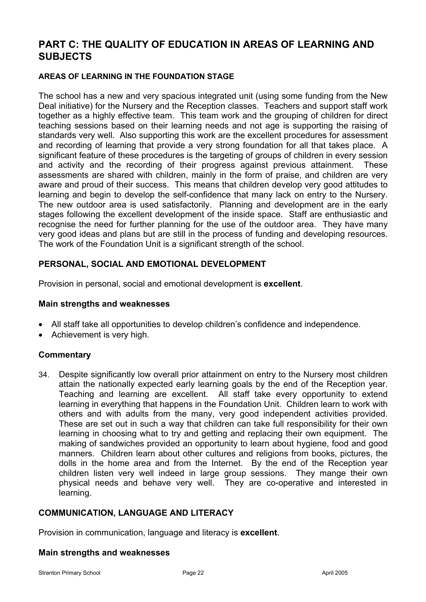# **PART C: THE QUALITY OF EDUCATION IN AREAS OF LEARNING AND SUBJECTS**

### **AREAS OF LEARNING IN THE FOUNDATION STAGE**

The school has a new and very spacious integrated unit (using some funding from the New Deal initiative) for the Nursery and the Reception classes. Teachers and support staff work together as a highly effective team. This team work and the grouping of children for direct teaching sessions based on their learning needs and not age is supporting the raising of standards very well. Also supporting this work are the excellent procedures for assessment and recording of learning that provide a very strong foundation for all that takes place. A significant feature of these procedures is the targeting of groups of children in every session and activity and the recording of their progress against previous attainment. These assessments are shared with children, mainly in the form of praise, and children are very aware and proud of their success. This means that children develop very good attitudes to learning and begin to develop the self-confidence that many lack on entry to the Nursery. The new outdoor area is used satisfactorily. Planning and development are in the early stages following the excellent development of the inside space. Staff are enthusiastic and recognise the need for further planning for the use of the outdoor area. They have many very good ideas and plans but are still in the process of funding and developing resources. The work of the Foundation Unit is a significant strength of the school.

# **PERSONAL, SOCIAL AND EMOTIONAL DEVELOPMENT**

Provision in personal, social and emotional development is **excellent**.

#### **Main strengths and weaknesses**

- All staff take all opportunities to develop children's confidence and independence.
- Achievement is very high.

# **Commentary**

34. Despite significantly low overall prior attainment on entry to the Nursery most children attain the nationally expected early learning goals by the end of the Reception year. Teaching and learning are excellent. All staff take every opportunity to extend learning in everything that happens in the Foundation Unit. Children learn to work with others and with adults from the many, very good independent activities provided. These are set out in such a way that children can take full responsibility for their own learning in choosing what to try and getting and replacing their own equipment. The making of sandwiches provided an opportunity to learn about hygiene, food and good manners. Children learn about other cultures and religions from books, pictures, the dolls in the home area and from the Internet. By the end of the Reception year children listen very well indeed in large group sessions. They mange their own physical needs and behave very well. They are co-operative and interested in learning.

# **COMMUNICATION, LANGUAGE AND LITERACY**

Provision in communication, language and literacy is **excellent**.

#### **Main strengths and weaknesses**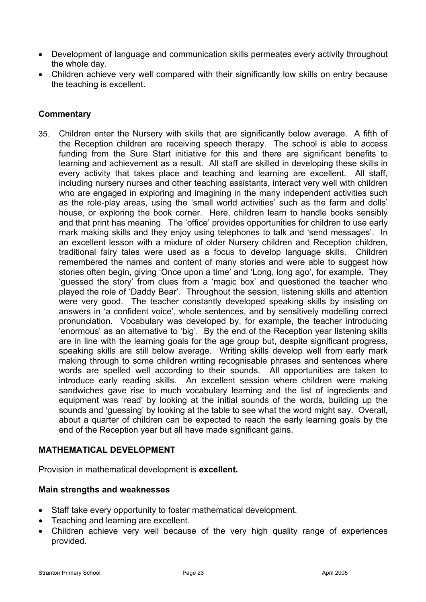- Development of language and communication skills permeates every activity throughout the whole day.
- Children achieve very well compared with their significantly low skills on entry because the teaching is excellent.

# **Commentary**

35. Children enter the Nursery with skills that are significantly below average. A fifth of the Reception children are receiving speech therapy. The school is able to access funding from the Sure Start initiative for this and there are significant benefits to learning and achievement as a result. All staff are skilled in developing these skills in every activity that takes place and teaching and learning are excellent. All staff, including nursery nurses and other teaching assistants, interact very well with children who are engaged in exploring and imagining in the many independent activities such as the role-play areas, using the 'small world activities' such as the farm and dolls' house, or exploring the book corner. Here, children learn to handle books sensibly and that print has meaning. The 'office' provides opportunities for children to use early mark making skills and they enjoy using telephones to talk and 'send messages'. In an excellent lesson with a mixture of older Nursery children and Reception children, traditional fairy tales were used as a focus to develop language skills. Children remembered the names and content of many stories and were able to suggest how stories often begin, giving 'Once upon a time' and 'Long, long ago', for example. They 'guessed the story' from clues from a 'magic box' and questioned the teacher who played the role of 'Daddy Bear'. Throughout the session, listening skills and attention were very good. The teacher constantly developed speaking skills by insisting on answers in 'a confident voice', whole sentences, and by sensitively modelling correct pronunciation. Vocabulary was developed by, for example, the teacher introducing 'enormous' as an alternative to 'big'. By the end of the Reception year listening skills are in line with the learning goals for the age group but, despite significant progress, speaking skills are still below average. Writing skills develop well from early mark making through to some children writing recognisable phrases and sentences where words are spelled well according to their sounds. All opportunities are taken to introduce early reading skills. An excellent session where children were making sandwiches gave rise to much vocabulary learning and the list of ingredients and equipment was 'read' by looking at the initial sounds of the words, building up the sounds and 'guessing' by looking at the table to see what the word might say. Overall, about a quarter of children can be expected to reach the early learning goals by the end of the Reception year but all have made significant gains.

# **MATHEMATICAL DEVELOPMENT**

Provision in mathematical development is **excellent.**

# **Main strengths and weaknesses**

- Staff take every opportunity to foster mathematical development.
- Teaching and learning are excellent.
- Children achieve very well because of the very high quality range of experiences provided.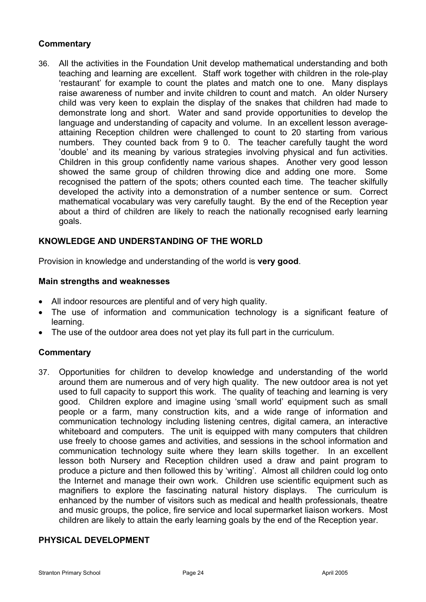# **Commentary**

36. All the activities in the Foundation Unit develop mathematical understanding and both teaching and learning are excellent. Staff work together with children in the role-play 'restaurant' for example to count the plates and match one to one. Many displays raise awareness of number and invite children to count and match. An older Nursery child was very keen to explain the display of the snakes that children had made to demonstrate long and short. Water and sand provide opportunities to develop the language and understanding of capacity and volume. In an excellent lesson averageattaining Reception children were challenged to count to 20 starting from various numbers. They counted back from 9 to 0. The teacher carefully taught the word 'double' and its meaning by various strategies involving physical and fun activities. Children in this group confidently name various shapes. Another very good lesson showed the same group of children throwing dice and adding one more. Some recognised the pattern of the spots; others counted each time. The teacher skilfully developed the activity into a demonstration of a number sentence or sum. Correct mathematical vocabulary was very carefully taught. By the end of the Reception year about a third of children are likely to reach the nationally recognised early learning goals.

# **KNOWLEDGE AND UNDERSTANDING OF THE WORLD**

Provision in knowledge and understanding of the world is **very good**.

### **Main strengths and weaknesses**

- All indoor resources are plentiful and of very high quality.
- The use of information and communication technology is a significant feature of learning.
- The use of the outdoor area does not yet play its full part in the curriculum.

#### **Commentary**

37. Opportunities for children to develop knowledge and understanding of the world around them are numerous and of very high quality. The new outdoor area is not yet used to full capacity to support this work. The quality of teaching and learning is very good. Children explore and imagine using 'small world' equipment such as small people or a farm, many construction kits, and a wide range of information and communication technology including listening centres, digital camera, an interactive whiteboard and computers. The unit is equipped with many computers that children use freely to choose games and activities, and sessions in the school information and communication technology suite where they learn skills together. In an excellent lesson both Nursery and Reception children used a draw and paint program to produce a picture and then followed this by 'writing'. Almost all children could log onto the Internet and manage their own work. Children use scientific equipment such as magnifiers to explore the fascinating natural history displays. The curriculum is enhanced by the number of visitors such as medical and health professionals, theatre and music groups, the police, fire service and local supermarket liaison workers. Most children are likely to attain the early learning goals by the end of the Reception year.

# **PHYSICAL DEVELOPMENT**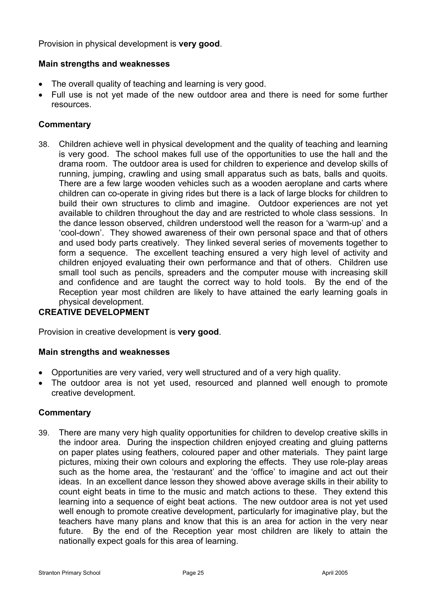Provision in physical development is **very good**.

### **Main strengths and weaknesses**

- The overall quality of teaching and learning is very good.
- Full use is not yet made of the new outdoor area and there is need for some further resources.

# **Commentary**

38. Children achieve well in physical development and the quality of teaching and learning is very good. The school makes full use of the opportunities to use the hall and the drama room. The outdoor area is used for children to experience and develop skills of running, jumping, crawling and using small apparatus such as bats, balls and quoits. There are a few large wooden vehicles such as a wooden aeroplane and carts where children can co-operate in giving rides but there is a lack of large blocks for children to build their own structures to climb and imagine. Outdoor experiences are not yet available to children throughout the day and are restricted to whole class sessions. In the dance lesson observed, children understood well the reason for a 'warm-up' and a 'cool-down'. They showed awareness of their own personal space and that of others and used body parts creatively. They linked several series of movements together to form a sequence. The excellent teaching ensured a very high level of activity and children enjoyed evaluating their own performance and that of others. Children use small tool such as pencils, spreaders and the computer mouse with increasing skill and confidence and are taught the correct way to hold tools. By the end of the Reception year most children are likely to have attained the early learning goals in physical development.

# **CREATIVE DEVELOPMENT**

Provision in creative development is **very good**.

#### **Main strengths and weaknesses**

- Opportunities are very varied, very well structured and of a very high quality.
- The outdoor area is not yet used, resourced and planned well enough to promote creative development.

# **Commentary**

39. There are many very high quality opportunities for children to develop creative skills in the indoor area. During the inspection children enjoyed creating and gluing patterns on paper plates using feathers, coloured paper and other materials. They paint large pictures, mixing their own colours and exploring the effects. They use role-play areas such as the home area, the 'restaurant' and the 'office' to imagine and act out their ideas. In an excellent dance lesson they showed above average skills in their ability to count eight beats in time to the music and match actions to these. They extend this learning into a sequence of eight beat actions. The new outdoor area is not yet used well enough to promote creative development, particularly for imaginative play, but the teachers have many plans and know that this is an area for action in the very near future. By the end of the Reception year most children are likely to attain the nationally expect goals for this area of learning.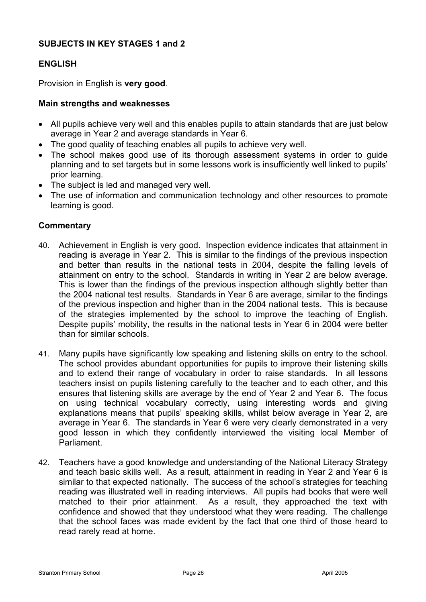# **SUBJECTS IN KEY STAGES 1 and 2**

# **ENGLISH**

Provision in English is **very good**.

# **Main strengths and weaknesses**

- All pupils achieve very well and this enables pupils to attain standards that are just below average in Year 2 and average standards in Year 6.
- The good quality of teaching enables all pupils to achieve very well.
- The school makes good use of its thorough assessment systems in order to guide planning and to set targets but in some lessons work is insufficiently well linked to pupils' prior learning.
- The subject is led and managed very well.
- The use of information and communication technology and other resources to promote learning is good.

- 40. Achievement in English is very good. Inspection evidence indicates that attainment in reading is average in Year 2. This is similar to the findings of the previous inspection and better than results in the national tests in 2004, despite the falling levels of attainment on entry to the school. Standards in writing in Year 2 are below average. This is lower than the findings of the previous inspection although slightly better than the 2004 national test results. Standards in Year 6 are average, similar to the findings of the previous inspection and higher than in the 2004 national tests. This is because of the strategies implemented by the school to improve the teaching of English. Despite pupils' mobility, the results in the national tests in Year 6 in 2004 were better than for similar schools.
- 41. Many pupils have significantly low speaking and listening skills on entry to the school. The school provides abundant opportunities for pupils to improve their listening skills and to extend their range of vocabulary in order to raise standards. In all lessons teachers insist on pupils listening carefully to the teacher and to each other, and this ensures that listening skills are average by the end of Year 2 and Year 6. The focus on using technical vocabulary correctly, using interesting words and giving explanations means that pupils' speaking skills, whilst below average in Year 2, are average in Year 6. The standards in Year 6 were very clearly demonstrated in a very good lesson in which they confidently interviewed the visiting local Member of Parliament.
- 42. Teachers have a good knowledge and understanding of the National Literacy Strategy and teach basic skills well. As a result, attainment in reading in Year 2 and Year 6 is similar to that expected nationally. The success of the school's strategies for teaching reading was illustrated well in reading interviews. All pupils had books that were well matched to their prior attainment. As a result, they approached the text with confidence and showed that they understood what they were reading. The challenge that the school faces was made evident by the fact that one third of those heard to read rarely read at home.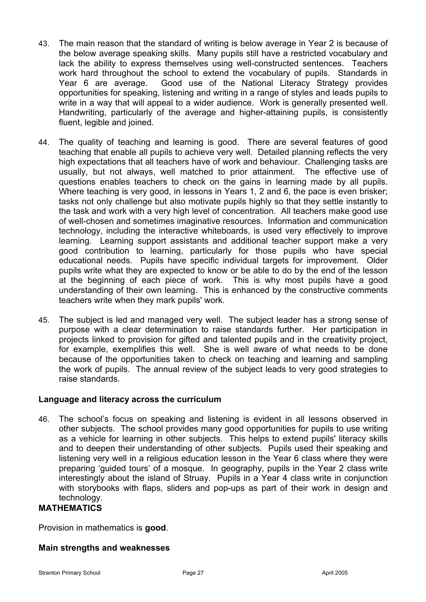- 43. The main reason that the standard of writing is below average in Year 2 is because of the below average speaking skills. Many pupils still have a restricted vocabulary and lack the ability to express themselves using well-constructed sentences. Teachers work hard throughout the school to extend the vocabulary of pupils. Standards in Year 6 are average. Good use of the National Literacy Strategy provides opportunities for speaking, listening and writing in a range of styles and leads pupils to write in a way that will appeal to a wider audience. Work is generally presented well. Handwriting, particularly of the average and higher-attaining pupils, is consistently fluent, legible and joined.
- 44. The quality of teaching and learning is good. There are several features of good teaching that enable all pupils to achieve very well. Detailed planning reflects the very high expectations that all teachers have of work and behaviour. Challenging tasks are usually, but not always, well matched to prior attainment. The effective use of questions enables teachers to check on the gains in learning made by all pupils. Where teaching is very good, in lessons in Years 1, 2 and 6, the pace is even brisker; tasks not only challenge but also motivate pupils highly so that they settle instantly to the task and work with a very high level of concentration. All teachers make good use of well-chosen and sometimes imaginative resources. Information and communication technology, including the interactive whiteboards, is used very effectively to improve learning. Learning support assistants and additional teacher support make a very good contribution to learning, particularly for those pupils who have special educational needs. Pupils have specific individual targets for improvement. Older pupils write what they are expected to know or be able to do by the end of the lesson at the beginning of each piece of work. This is why most pupils have a good understanding of their own learning. This is enhanced by the constructive comments teachers write when they mark pupils' work.
- 45. The subject is led and managed very well. The subject leader has a strong sense of purpose with a clear determination to raise standards further. Her participation in projects linked to provision for gifted and talented pupils and in the creativity project, for example, exemplifies this well. She is well aware of what needs to be done because of the opportunities taken to check on teaching and learning and sampling the work of pupils. The annual review of the subject leads to very good strategies to raise standards.

# **Language and literacy across the curriculum**

46. The school's focus on speaking and listening is evident in all lessons observed in other subjects. The school provides many good opportunities for pupils to use writing as a vehicle for learning in other subjects. This helps to extend pupils' literacy skills and to deepen their understanding of other subjects. Pupils used their speaking and listening very well in a religious education lesson in the Year 6 class where they were preparing 'guided tours' of a mosque. In geography, pupils in the Year 2 class write interestingly about the island of Struay. Pupils in a Year 4 class write in conjunction with storybooks with flaps, sliders and pop-ups as part of their work in design and technology.

# **MATHEMATICS**

Provision in mathematics is **good**.

# **Main strengths and weaknesses**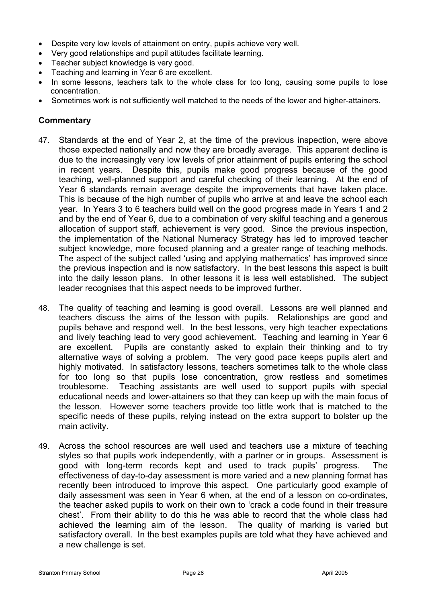- Despite very low levels of attainment on entry, pupils achieve very well.
- Very good relationships and pupil attitudes facilitate learning.
- Teacher subject knowledge is very good.
- Teaching and learning in Year 6 are excellent.
- In some lessons, teachers talk to the whole class for too long, causing some pupils to lose concentration.
- Sometimes work is not sufficiently well matched to the needs of the lower and higher-attainers.

- 47. Standards at the end of Year 2, at the time of the previous inspection, were above those expected nationally and now they are broadly average. This apparent decline is due to the increasingly very low levels of prior attainment of pupils entering the school in recent years. Despite this, pupils make good progress because of the good teaching, well-planned support and careful checking of their learning. At the end of Year 6 standards remain average despite the improvements that have taken place. This is because of the high number of pupils who arrive at and leave the school each year. In Years 3 to 6 teachers build well on the good progress made in Years 1 and 2 and by the end of Year 6, due to a combination of very skilful teaching and a generous allocation of support staff, achievement is very good. Since the previous inspection, the implementation of the National Numeracy Strategy has led to improved teacher subject knowledge, more focused planning and a greater range of teaching methods. The aspect of the subject called 'using and applying mathematics' has improved since the previous inspection and is now satisfactory. In the best lessons this aspect is built into the daily lesson plans. In other lessons it is less well established. The subject leader recognises that this aspect needs to be improved further.
- 48. The quality of teaching and learning is good overall. Lessons are well planned and teachers discuss the aims of the lesson with pupils. Relationships are good and pupils behave and respond well. In the best lessons, very high teacher expectations and lively teaching lead to very good achievement. Teaching and learning in Year 6 are excellent. Pupils are constantly asked to explain their thinking and to try alternative ways of solving a problem. The very good pace keeps pupils alert and highly motivated. In satisfactory lessons, teachers sometimes talk to the whole class for too long so that pupils lose concentration, grow restless and sometimes troublesome. Teaching assistants are well used to support pupils with special educational needs and lower-attainers so that they can keep up with the main focus of the lesson. However some teachers provide too little work that is matched to the specific needs of these pupils, relying instead on the extra support to bolster up the main activity.
- 49. Across the school resources are well used and teachers use a mixture of teaching styles so that pupils work independently, with a partner or in groups. Assessment is good with long-term records kept and used to track pupils' progress. The effectiveness of day-to-day assessment is more varied and a new planning format has recently been introduced to improve this aspect. One particularly good example of daily assessment was seen in Year 6 when, at the end of a lesson on co-ordinates, the teacher asked pupils to work on their own to 'crack a code found in their treasure chest'. From their ability to do this he was able to record that the whole class had achieved the learning aim of the lesson. The quality of marking is varied but satisfactory overall. In the best examples pupils are told what they have achieved and a new challenge is set.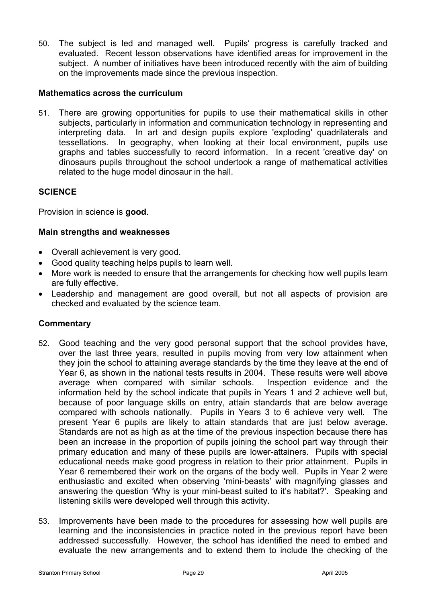50. The subject is led and managed well. Pupils' progress is carefully tracked and evaluated. Recent lesson observations have identified areas for improvement in the subject. A number of initiatives have been introduced recently with the aim of building on the improvements made since the previous inspection.

### **Mathematics across the curriculum**

51. There are growing opportunities for pupils to use their mathematical skills in other subjects, particularly in information and communication technology in representing and interpreting data. In art and design pupils explore 'exploding' quadrilaterals and tessellations. In geography, when looking at their local environment, pupils use graphs and tables successfully to record information. In a recent 'creative day' on dinosaurs pupils throughout the school undertook a range of mathematical activities related to the huge model dinosaur in the hall.

# **SCIENCE**

Provision in science is **good**.

### **Main strengths and weaknesses**

- Overall achievement is very good.
- Good quality teaching helps pupils to learn well.
- More work is needed to ensure that the arrangements for checking how well pupils learn are fully effective.
- Leadership and management are good overall, but not all aspects of provision are checked and evaluated by the science team.

- 52. Good teaching and the very good personal support that the school provides have, over the last three years, resulted in pupils moving from very low attainment when they join the school to attaining average standards by the time they leave at the end of Year 6, as shown in the national tests results in 2004. These results were well above average when compared with similar schools. Inspection evidence and the information held by the school indicate that pupils in Years 1 and 2 achieve well but, because of poor language skills on entry, attain standards that are below average compared with schools nationally. Pupils in Years 3 to 6 achieve very well. The present Year 6 pupils are likely to attain standards that are just below average. Standards are not as high as at the time of the previous inspection because there has been an increase in the proportion of pupils joining the school part way through their primary education and many of these pupils are lower-attainers. Pupils with special educational needs make good progress in relation to their prior attainment. Pupils in Year 6 remembered their work on the organs of the body well. Pupils in Year 2 were enthusiastic and excited when observing 'mini-beasts' with magnifying glasses and answering the question 'Why is your mini-beast suited to it's habitat?'. Speaking and listening skills were developed well through this activity.
- 53. Improvements have been made to the procedures for assessing how well pupils are learning and the inconsistencies in practice noted in the previous report have been addressed successfully. However, the school has identified the need to embed and evaluate the new arrangements and to extend them to include the checking of the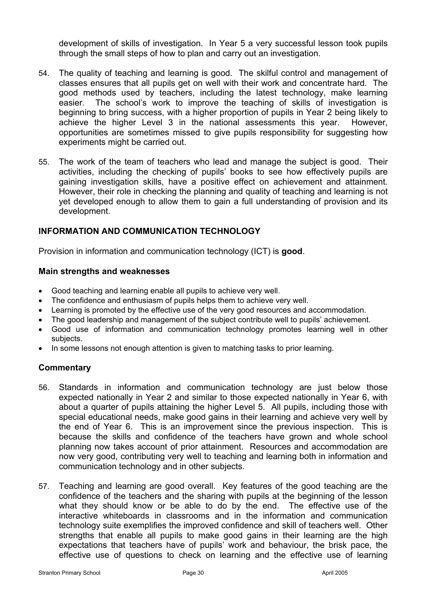development of skills of investigation. In Year 5 a very successful lesson took pupils through the small steps of how to plan and carry out an investigation.

- 54. The quality of teaching and learning is good. The skilful control and management of classes ensures that all pupils get on well with their work and concentrate hard. The good methods used by teachers, including the latest technology, make learning easier. The school's work to improve the teaching of skills of investigation is beginning to bring success, with a higher proportion of pupils in Year 2 being likely to achieve the higher Level 3 in the national assessments this year. However, opportunities are sometimes missed to give pupils responsibility for suggesting how experiments might be carried out.
- 55. The work of the team of teachers who lead and manage the subject is good. Their activities, including the checking of pupils' books to see how effectively pupils are gaining investigation skills, have a positive effect on achievement and attainment. However, their role in checking the planning and quality of teaching and learning is not yet developed enough to allow them to gain a full understanding of provision and its development.

# **INFORMATION AND COMMUNICATION TECHNOLOGY**

Provision in information and communication technology (ICT) is **good**.

#### **Main strengths and weaknesses**

- Good teaching and learning enable all pupils to achieve very well.
- The confidence and enthusiasm of pupils helps them to achieve very well.
- Learning is promoted by the effective use of the very good resources and accommodation.
- The good leadership and management of the subject contribute well to pupils' achievement.
- Good use of information and communication technology promotes learning well in other subjects.
- In some lessons not enough attention is given to matching tasks to prior learning.

- 56. Standards in information and communication technology are just below those expected nationally in Year 2 and similar to those expected nationally in Year 6, with about a quarter of pupils attaining the higher Level 5. All pupils, including those with special educational needs, make good gains in their learning and achieve very well by the end of Year 6. This is an improvement since the previous inspection. This is because the skills and confidence of the teachers have grown and whole school planning now takes account of prior attainment. Resources and accommodation are now very good, contributing very well to teaching and learning both in information and communication technology and in other subjects.
- 57. Teaching and learning are good overall. Key features of the good teaching are the confidence of the teachers and the sharing with pupils at the beginning of the lesson what they should know or be able to do by the end. The effective use of the interactive whiteboards in classrooms and in the information and communication technology suite exemplifies the improved confidence and skill of teachers well. Other strengths that enable all pupils to make good gains in their learning are the high expectations that teachers have of pupils' work and behaviour, the brisk pace, the effective use of questions to check on learning and the effective use of learning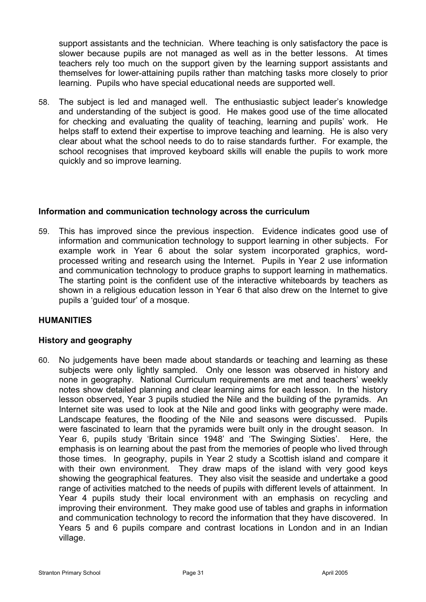support assistants and the technician. Where teaching is only satisfactory the pace is slower because pupils are not managed as well as in the better lessons. At times teachers rely too much on the support given by the learning support assistants and themselves for lower-attaining pupils rather than matching tasks more closely to prior learning. Pupils who have special educational needs are supported well.

58. The subject is led and managed well. The enthusiastic subject leader's knowledge and understanding of the subject is good. He makes good use of the time allocated for checking and evaluating the quality of teaching, learning and pupils' work. He helps staff to extend their expertise to improve teaching and learning. He is also very clear about what the school needs to do to raise standards further. For example, the school recognises that improved keyboard skills will enable the pupils to work more quickly and so improve learning.

# **Information and communication technology across the curriculum**

59. This has improved since the previous inspection. Evidence indicates good use of information and communication technology to support learning in other subjects. For example work in Year 6 about the solar system incorporated graphics, wordprocessed writing and research using the Internet. Pupils in Year 2 use information and communication technology to produce graphs to support learning in mathematics. The starting point is the confident use of the interactive whiteboards by teachers as shown in a religious education lesson in Year 6 that also drew on the Internet to give pupils a 'guided tour' of a mosque.

# **HUMANITIES**

# **History and geography**

60. No judgements have been made about standards or teaching and learning as these subjects were only lightly sampled. Only one lesson was observed in history and none in geography. National Curriculum requirements are met and teachers' weekly notes show detailed planning and clear learning aims for each lesson. In the history lesson observed, Year 3 pupils studied the Nile and the building of the pyramids. An Internet site was used to look at the Nile and good links with geography were made. Landscape features, the flooding of the Nile and seasons were discussed. Pupils were fascinated to learn that the pyramids were built only in the drought season. In Year 6, pupils study 'Britain since 1948' and 'The Swinging Sixties'. Here, the emphasis is on learning about the past from the memories of people who lived through those times. In geography, pupils in Year 2 study a Scottish island and compare it with their own environment. They draw maps of the island with very good keys showing the geographical features. They also visit the seaside and undertake a good range of activities matched to the needs of pupils with different levels of attainment. In Year 4 pupils study their local environment with an emphasis on recycling and improving their environment. They make good use of tables and graphs in information and communication technology to record the information that they have discovered. In Years 5 and 6 pupils compare and contrast locations in London and in an Indian village.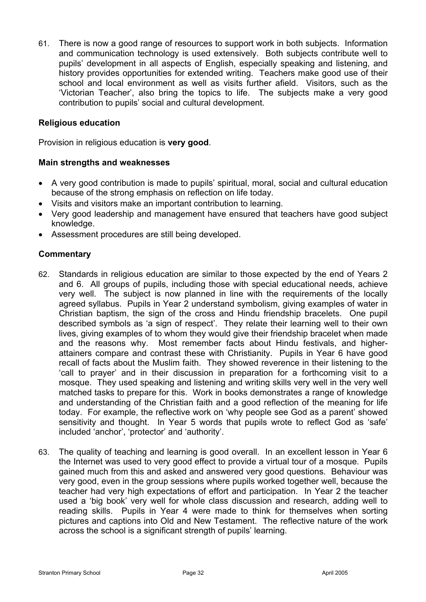61. There is now a good range of resources to support work in both subjects. Information and communication technology is used extensively. Both subjects contribute well to pupils' development in all aspects of English, especially speaking and listening, and history provides opportunities for extended writing. Teachers make good use of their school and local environment as well as visits further afield. Visitors, such as the 'Victorian Teacher', also bring the topics to life. The subjects make a very good contribution to pupils' social and cultural development.

### **Religious education**

Provision in religious education is **very good**.

### **Main strengths and weaknesses**

- A very good contribution is made to pupils' spiritual, moral, social and cultural education because of the strong emphasis on reflection on life today.
- Visits and visitors make an important contribution to learning.
- Very good leadership and management have ensured that teachers have good subject knowledge.
- Assessment procedures are still being developed.

- 62. Standards in religious education are similar to those expected by the end of Years 2 and 6. All groups of pupils, including those with special educational needs, achieve very well. The subject is now planned in line with the requirements of the locally agreed syllabus. Pupils in Year 2 understand symbolism, giving examples of water in Christian baptism, the sign of the cross and Hindu friendship bracelets. One pupil described symbols as 'a sign of respect'. They relate their learning well to their own lives, giving examples of to whom they would give their friendship bracelet when made and the reasons why. Most remember facts about Hindu festivals, and higherattainers compare and contrast these with Christianity. Pupils in Year 6 have good recall of facts about the Muslim faith. They showed reverence in their listening to the 'call to prayer' and in their discussion in preparation for a forthcoming visit to a mosque. They used speaking and listening and writing skills very well in the very well matched tasks to prepare for this. Work in books demonstrates a range of knowledge and understanding of the Christian faith and a good reflection of the meaning for life today. For example, the reflective work on 'why people see God as a parent' showed sensitivity and thought. In Year 5 words that pupils wrote to reflect God as 'safe' included 'anchor', 'protector' and 'authority'.
- 63. The quality of teaching and learning is good overall. In an excellent lesson in Year 6 the Internet was used to very good effect to provide a virtual tour of a mosque. Pupils gained much from this and asked and answered very good questions. Behaviour was very good, even in the group sessions where pupils worked together well, because the teacher had very high expectations of effort and participation. In Year 2 the teacher used a 'big book' very well for whole class discussion and research, adding well to reading skills. Pupils in Year 4 were made to think for themselves when sorting pictures and captions into Old and New Testament. The reflective nature of the work across the school is a significant strength of pupils' learning.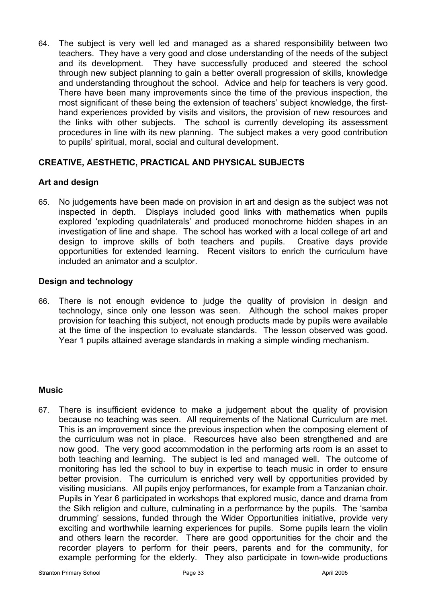64. The subject is very well led and managed as a shared responsibility between two teachers. They have a very good and close understanding of the needs of the subject and its development. They have successfully produced and steered the school through new subject planning to gain a better overall progression of skills, knowledge and understanding throughout the school. Advice and help for teachers is very good. There have been many improvements since the time of the previous inspection, the most significant of these being the extension of teachers' subject knowledge, the firsthand experiences provided by visits and visitors, the provision of new resources and the links with other subjects. The school is currently developing its assessment procedures in line with its new planning. The subject makes a very good contribution to pupils' spiritual, moral, social and cultural development.

# **CREATIVE, AESTHETIC, PRACTICAL AND PHYSICAL SUBJECTS**

# **Art and design**

65. No judgements have been made on provision in art and design as the subject was not inspected in depth. Displays included good links with mathematics when pupils explored 'exploding quadrilaterals' and produced monochrome hidden shapes in an investigation of line and shape. The school has worked with a local college of art and design to improve skills of both teachers and pupils. Creative days provide opportunities for extended learning. Recent visitors to enrich the curriculum have included an animator and a sculptor.

# **Design and technology**

66. There is not enough evidence to judge the quality of provision in design and technology, since only one lesson was seen. Although the school makes proper provision for teaching this subject, not enough products made by pupils were available at the time of the inspection to evaluate standards. The lesson observed was good. Year 1 pupils attained average standards in making a simple winding mechanism.

# **Music**

67. There is insufficient evidence to make a judgement about the quality of provision because no teaching was seen. All requirements of the National Curriculum are met. This is an improvement since the previous inspection when the composing element of the curriculum was not in place. Resources have also been strengthened and are now good. The very good accommodation in the performing arts room is an asset to both teaching and learning. The subject is led and managed well. The outcome of monitoring has led the school to buy in expertise to teach music in order to ensure better provision. The curriculum is enriched very well by opportunities provided by visiting musicians. All pupils enjoy performances, for example from a Tanzanian choir. Pupils in Year 6 participated in workshops that explored music, dance and drama from the Sikh religion and culture, culminating in a performance by the pupils. The 'samba drumming' sessions, funded through the Wider Opportunities initiative, provide very exciting and worthwhile learning experiences for pupils. Some pupils learn the violin and others learn the recorder. There are good opportunities for the choir and the recorder players to perform for their peers, parents and for the community, for example performing for the elderly. They also participate in town-wide productions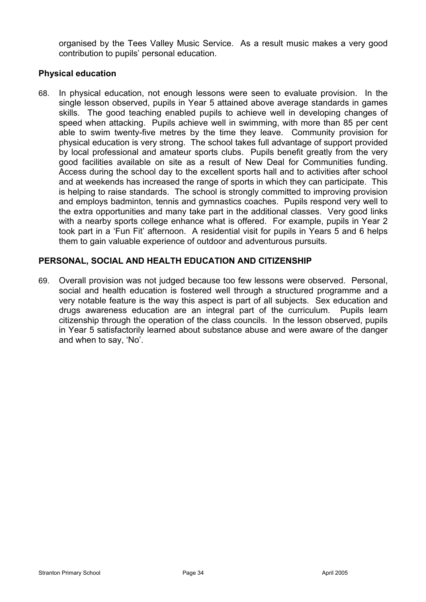organised by the Tees Valley Music Service. As a result music makes a very good contribution to pupils' personal education.

# **Physical education**

68. In physical education, not enough lessons were seen to evaluate provision. In the single lesson observed, pupils in Year 5 attained above average standards in games skills. The good teaching enabled pupils to achieve well in developing changes of speed when attacking. Pupils achieve well in swimming, with more than 85 per cent able to swim twenty-five metres by the time they leave. Community provision for physical education is very strong. The school takes full advantage of support provided by local professional and amateur sports clubs. Pupils benefit greatly from the very good facilities available on site as a result of New Deal for Communities funding. Access during the school day to the excellent sports hall and to activities after school and at weekends has increased the range of sports in which they can participate. This is helping to raise standards. The school is strongly committed to improving provision and employs badminton, tennis and gymnastics coaches. Pupils respond very well to the extra opportunities and many take part in the additional classes. Very good links with a nearby sports college enhance what is offered. For example, pupils in Year 2 took part in a 'Fun Fit' afternoon. A residential visit for pupils in Years 5 and 6 helps them to gain valuable experience of outdoor and adventurous pursuits.

# **PERSONAL, SOCIAL AND HEALTH EDUCATION AND CITIZENSHIP**

69. Overall provision was not judged because too few lessons were observed. Personal, social and health education is fostered well through a structured programme and a very notable feature is the way this aspect is part of all subjects. Sex education and drugs awareness education are an integral part of the curriculum. Pupils learn citizenship through the operation of the class councils. In the lesson observed, pupils in Year 5 satisfactorily learned about substance abuse and were aware of the danger and when to say, 'No'.